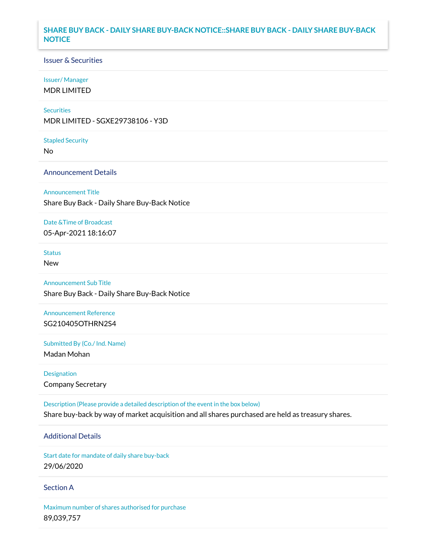# **SHARE BUY BACK - DAILY SHARE BUY-BACK NOTICE::SHARE BUY BACK - DAILY SHARE BUY-BACK NOTICE**

## Issuer & Securities

## Issuer/ Manager

MDR LIMITED

## **Securities**

MDR LIMITED - SGXE29738106 - Y3D

#### Stapled Security

No

# Announcement Details

### Announcement Title

Share Buy Back - Daily Share Buy-Back Notice

## Date &Time of Broadcast

05-Apr-2021 18:16:07

# **Status**

New

# Announcement Sub Title

Share Buy Back - Daily Share Buy-Back Notice

# Announcement Reference SG210405OTHRN2S4

Submitted By (Co./ Ind. Name)

Madan Mohan

# Designation Company Secretary

Description (Please provide a detailed description of the event in the box below) Share buy-back by way of market acquisition and all shares purchased are held as treasury shares.

# Additional Details

Start date for mandate of daily share buy-back 29/06/2020

## Section A

Maximum number of shares authorised for purchase 89,039,757